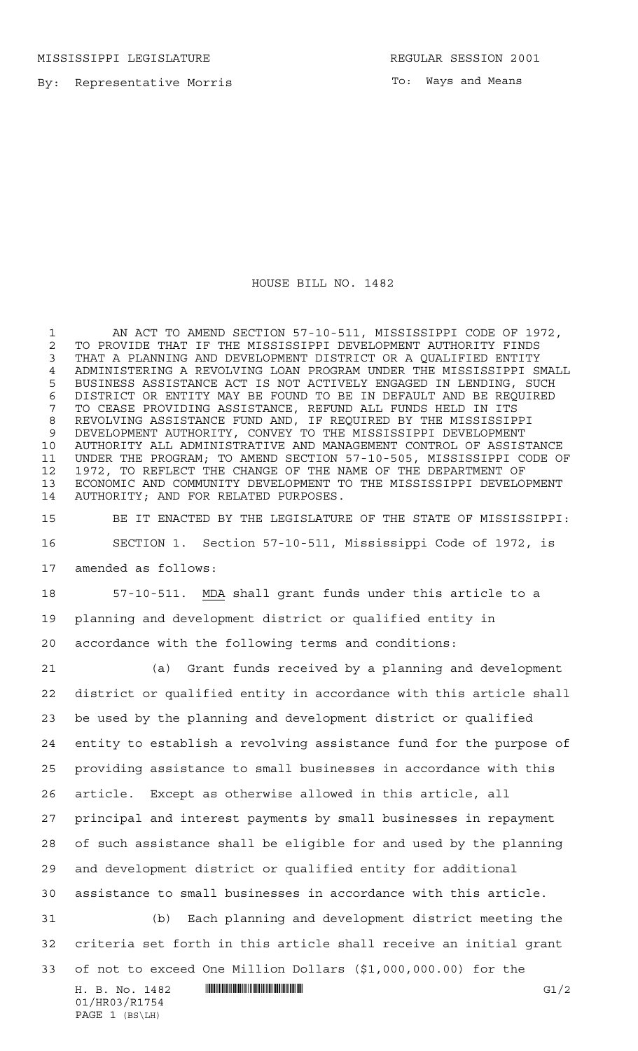MISSISSIPPI LEGISLATURE REGULAR SESSION 2001

By: Representative Morris

To: Ways and Means

## HOUSE BILL NO. 1482

1 AN ACT TO AMEND SECTION 57-10-511, MISSISSIPPI CODE OF 1972, 2 TO PROVIDE THAT IF THE MISSISSIPPI DEVELOPMENT AUTHORITY FINDS<br>3 THAT A PLANNING AND DEVELOPMENT DISTRICT OR A OUALIFIED ENTITY THAT A PLANNING AND DEVELOPMENT DISTRICT OR A QUALIFIED ENTITY ADMINISTERING A REVOLVING LOAN PROGRAM UNDER THE MISSISSIPPI SMALL BUSINESS ASSISTANCE ACT IS NOT ACTIVELY ENGAGED IN LENDING, SUCH DISTRICT OR ENTITY MAY BE FOUND TO BE IN DEFAULT AND BE REQUIRED TO CEASE PROVIDING ASSISTANCE, REFUND ALL FUNDS HELD IN ITS REVOLVING ASSISTANCE FUND AND, IF REQUIRED BY THE MISSISSIPPI DEVELOPMENT AUTHORITY, CONVEY TO THE MISSISSIPPI DEVELOPMENT AUTHORITY ALL ADMINISTRATIVE AND MANAGEMENT CONTROL OF ASSISTANCE UNDER THE PROGRAM; TO AMEND SECTION 57-10-505, MISSISSIPPI CODE OF 1972, TO REFLECT THE CHANGE OF THE NAME OF THE DEPARTMENT OF ECONOMIC AND COMMUNITY DEVELOPMENT TO THE MISSISSIPPI DEVELOPMENT AUTHORITY; AND FOR RELATED PURPOSES.

 BE IT ENACTED BY THE LEGISLATURE OF THE STATE OF MISSISSIPPI: SECTION 1. Section 57-10-511, Mississippi Code of 1972, is amended as follows:

 57-10-511. MDA shall grant funds under this article to a planning and development district or qualified entity in accordance with the following terms and conditions:

 $H. B. No. 1482$  HROSE HROSE FOR A GU/2 (a) Grant funds received by a planning and development district or qualified entity in accordance with this article shall be used by the planning and development district or qualified entity to establish a revolving assistance fund for the purpose of providing assistance to small businesses in accordance with this article. Except as otherwise allowed in this article, all principal and interest payments by small businesses in repayment of such assistance shall be eligible for and used by the planning and development district or qualified entity for additional assistance to small businesses in accordance with this article. (b) Each planning and development district meeting the criteria set forth in this article shall receive an initial grant of not to exceed One Million Dollars (\$1,000,000.00) for the

```
01/HR03/R1754
PAGE 1 (BS\LH)
```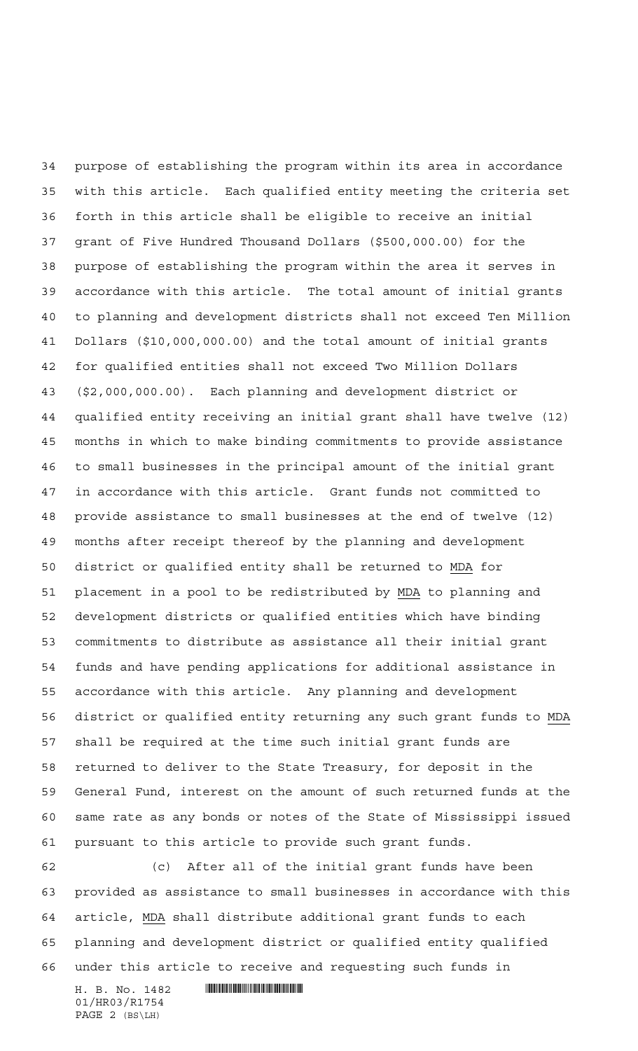purpose of establishing the program within its area in accordance with this article. Each qualified entity meeting the criteria set forth in this article shall be eligible to receive an initial grant of Five Hundred Thousand Dollars (\$500,000.00) for the purpose of establishing the program within the area it serves in accordance with this article. The total amount of initial grants to planning and development districts shall not exceed Ten Million Dollars (\$10,000,000.00) and the total amount of initial grants for qualified entities shall not exceed Two Million Dollars (\$2,000,000.00). Each planning and development district or qualified entity receiving an initial grant shall have twelve (12) months in which to make binding commitments to provide assistance to small businesses in the principal amount of the initial grant in accordance with this article. Grant funds not committed to provide assistance to small businesses at the end of twelve (12) months after receipt thereof by the planning and development district or qualified entity shall be returned to MDA for placement in a pool to be redistributed by MDA to planning and development districts or qualified entities which have binding commitments to distribute as assistance all their initial grant funds and have pending applications for additional assistance in accordance with this article. Any planning and development district or qualified entity returning any such grant funds to MDA shall be required at the time such initial grant funds are returned to deliver to the State Treasury, for deposit in the General Fund, interest on the amount of such returned funds at the same rate as any bonds or notes of the State of Mississippi issued pursuant to this article to provide such grant funds.

 (c) After all of the initial grant funds have been provided as assistance to small businesses in accordance with this article, MDA shall distribute additional grant funds to each planning and development district or qualified entity qualified under this article to receive and requesting such funds in

01/HR03/R1754 PAGE 2 (BS\LH)

H. B. No. 1482 **. HUNT AND SEARCH AND STATE**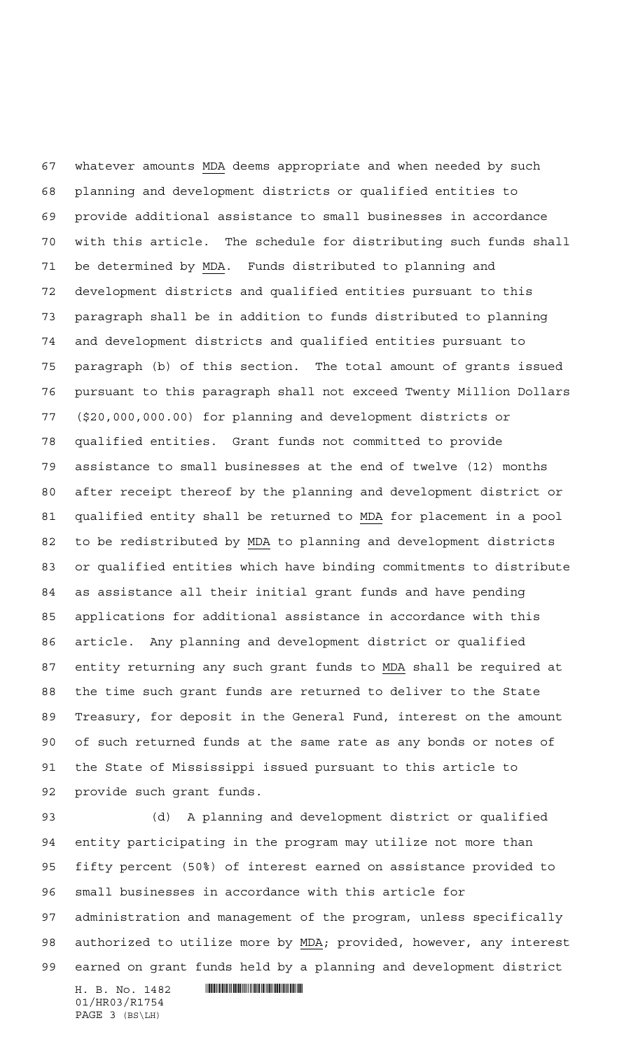whatever amounts MDA deems appropriate and when needed by such planning and development districts or qualified entities to provide additional assistance to small businesses in accordance with this article. The schedule for distributing such funds shall be determined by MDA. Funds distributed to planning and development districts and qualified entities pursuant to this paragraph shall be in addition to funds distributed to planning and development districts and qualified entities pursuant to paragraph (b) of this section. The total amount of grants issued pursuant to this paragraph shall not exceed Twenty Million Dollars (\$20,000,000.00) for planning and development districts or qualified entities. Grant funds not committed to provide assistance to small businesses at the end of twelve (12) months after receipt thereof by the planning and development district or qualified entity shall be returned to MDA for placement in a pool to be redistributed by MDA to planning and development districts or qualified entities which have binding commitments to distribute as assistance all their initial grant funds and have pending applications for additional assistance in accordance with this article. Any planning and development district or qualified entity returning any such grant funds to MDA shall be required at the time such grant funds are returned to deliver to the State Treasury, for deposit in the General Fund, interest on the amount of such returned funds at the same rate as any bonds or notes of the State of Mississippi issued pursuant to this article to provide such grant funds.

 (d) A planning and development district or qualified entity participating in the program may utilize not more than fifty percent (50%) of interest earned on assistance provided to small businesses in accordance with this article for administration and management of the program, unless specifically authorized to utilize more by MDA; provided, however, any interest earned on grant funds held by a planning and development district

H. B. No. 1482 **. HUNT AND SEARCH AND STATE** 01/HR03/R1754 PAGE 3 (BS\LH)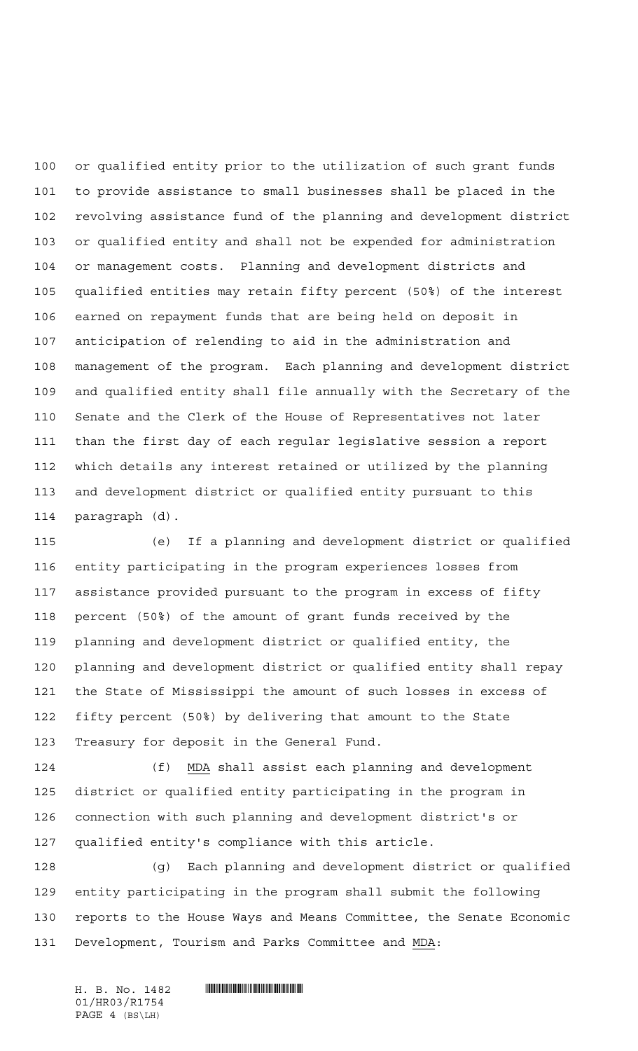or qualified entity prior to the utilization of such grant funds to provide assistance to small businesses shall be placed in the revolving assistance fund of the planning and development district or qualified entity and shall not be expended for administration or management costs. Planning and development districts and qualified entities may retain fifty percent (50%) of the interest earned on repayment funds that are being held on deposit in anticipation of relending to aid in the administration and management of the program. Each planning and development district and qualified entity shall file annually with the Secretary of the Senate and the Clerk of the House of Representatives not later than the first day of each regular legislative session a report which details any interest retained or utilized by the planning and development district or qualified entity pursuant to this paragraph (d).

 (e) If a planning and development district or qualified entity participating in the program experiences losses from assistance provided pursuant to the program in excess of fifty percent (50%) of the amount of grant funds received by the planning and development district or qualified entity, the planning and development district or qualified entity shall repay the State of Mississippi the amount of such losses in excess of fifty percent (50%) by delivering that amount to the State Treasury for deposit in the General Fund.

 (f) MDA shall assist each planning and development district or qualified entity participating in the program in connection with such planning and development district's or qualified entity's compliance with this article.

 (g) Each planning and development district or qualified entity participating in the program shall submit the following reports to the House Ways and Means Committee, the Senate Economic Development, Tourism and Parks Committee and MDA:

01/HR03/R1754 PAGE 4 (BS\LH)

H. B. No. 1482 **HING AND AN AND AN ANGLE OF A SET OF A SET OF A SET OF A SET OF A SET OF A SET OF A SET OF A SET OF A SET OF A SET OF A SET OF A SET OF A SET OF A SET OF A SET OF A SET OF A SET OF A SET OF A SET OF A SET O**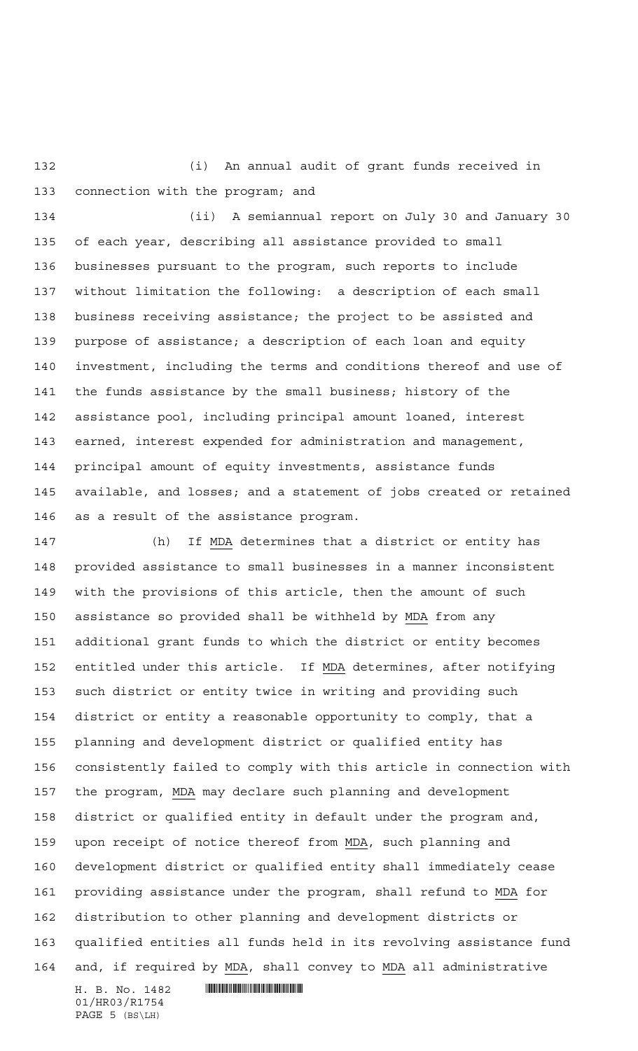(i) An annual audit of grant funds received in connection with the program; and

 (ii) A semiannual report on July 30 and January 30 of each year, describing all assistance provided to small businesses pursuant to the program, such reports to include without limitation the following: a description of each small business receiving assistance; the project to be assisted and purpose of assistance; a description of each loan and equity investment, including the terms and conditions thereof and use of the funds assistance by the small business; history of the assistance pool, including principal amount loaned, interest earned, interest expended for administration and management, principal amount of equity investments, assistance funds available, and losses; and a statement of jobs created or retained as a result of the assistance program.

 (h) If MDA determines that a district or entity has provided assistance to small businesses in a manner inconsistent with the provisions of this article, then the amount of such assistance so provided shall be withheld by MDA from any additional grant funds to which the district or entity becomes entitled under this article. If MDA determines, after notifying such district or entity twice in writing and providing such district or entity a reasonable opportunity to comply, that a planning and development district or qualified entity has consistently failed to comply with this article in connection with the program, MDA may declare such planning and development district or qualified entity in default under the program and, upon receipt of notice thereof from MDA, such planning and development district or qualified entity shall immediately cease providing assistance under the program, shall refund to MDA for distribution to other planning and development districts or qualified entities all funds held in its revolving assistance fund and, if required by MDA, shall convey to MDA all administrative

H. B. No. 1482 **HROSHOP REPAIRING THE SET OF STATE OF STATE IN THE SET OF STATE OF STATE IN THE STATE OF STATE I** 01/HR03/R1754 PAGE 5 (BS\LH)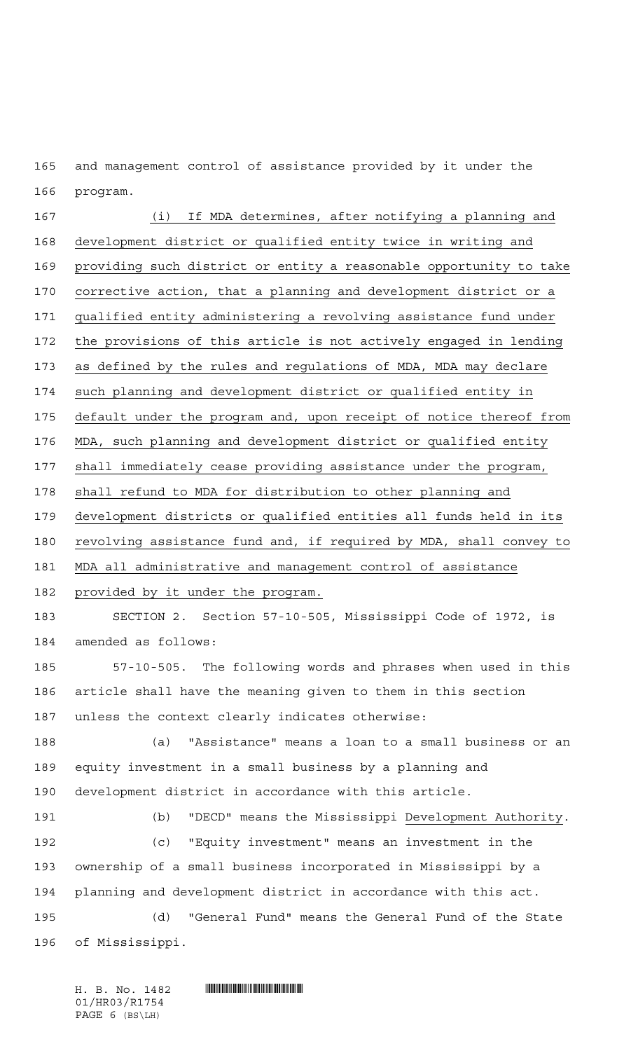and management control of assistance provided by it under the program.

 (i) If MDA determines, after notifying a planning and development district or qualified entity twice in writing and providing such district or entity a reasonable opportunity to take corrective action, that a planning and development district or a qualified entity administering a revolving assistance fund under the provisions of this article is not actively engaged in lending as defined by the rules and regulations of MDA, MDA may declare such planning and development district or qualified entity in default under the program and, upon receipt of notice thereof from MDA, such planning and development district or qualified entity shall immediately cease providing assistance under the program, shall refund to MDA for distribution to other planning and development districts or qualified entities all funds held in its revolving assistance fund and, if required by MDA, shall convey to MDA all administrative and management control of assistance 182 provided by it under the program. SECTION 2. Section 57-10-505, Mississippi Code of 1972, is amended as follows: 57-10-505. The following words and phrases when used in this article shall have the meaning given to them in this section unless the context clearly indicates otherwise: (a) "Assistance" means a loan to a small business or an equity investment in a small business by a planning and development district in accordance with this article. (b) "DECD" means the Mississippi Development Authority. (c) "Equity investment" means an investment in the ownership of a small business incorporated in Mississippi by a planning and development district in accordance with this act. (d) "General Fund" means the General Fund of the State of Mississippi.

01/HR03/R1754 PAGE 6 (BS\LH)

H. B. No. 1482 **HING AND AN AND AN ANGLE OF A SET OF A SET OF A SET OF A SET OF A SET OF A SET OF A SET OF A SET OF A SET OF A SET OF A SET OF A SET OF A SET OF A SET OF A SET OF A SET OF A SET OF A SET OF A SET OF A SET O**